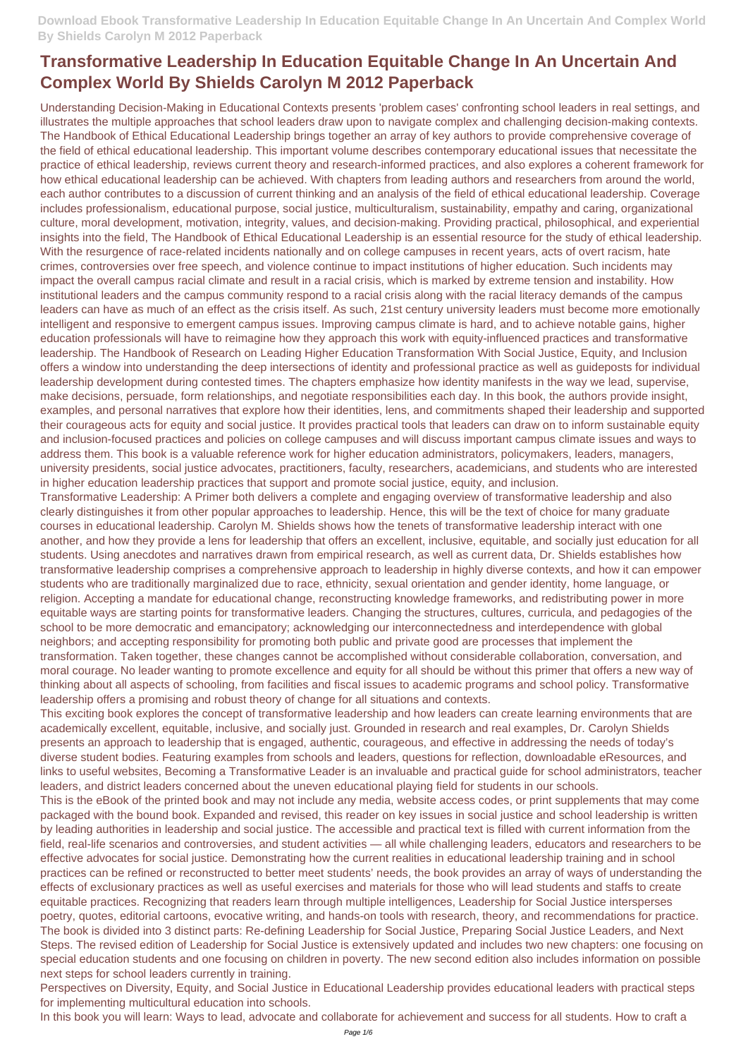Understanding Decision-Making in Educational Contexts presents 'problem cases' confronting school leaders in real settings, and illustrates the multiple approaches that school leaders draw upon to navigate complex and challenging decision-making contexts. The Handbook of Ethical Educational Leadership brings together an array of key authors to provide comprehensive coverage of the field of ethical educational leadership. This important volume describes contemporary educational issues that necessitate the practice of ethical leadership, reviews current theory and research-informed practices, and also explores a coherent framework for how ethical educational leadership can be achieved. With chapters from leading authors and researchers from around the world, each author contributes to a discussion of current thinking and an analysis of the field of ethical educational leadership. Coverage includes professionalism, educational purpose, social justice, multiculturalism, sustainability, empathy and caring, organizational culture, moral development, motivation, integrity, values, and decision-making. Providing practical, philosophical, and experiential insights into the field, The Handbook of Ethical Educational Leadership is an essential resource for the study of ethical leadership. With the resurgence of race-related incidents nationally and on college campuses in recent years, acts of overt racism, hate crimes, controversies over free speech, and violence continue to impact institutions of higher education. Such incidents may impact the overall campus racial climate and result in a racial crisis, which is marked by extreme tension and instability. How institutional leaders and the campus community respond to a racial crisis along with the racial literacy demands of the campus leaders can have as much of an effect as the crisis itself. As such, 21st century university leaders must become more emotionally intelligent and responsive to emergent campus issues. Improving campus climate is hard, and to achieve notable gains, higher education professionals will have to reimagine how they approach this work with equity-influenced practices and transformative leadership. The Handbook of Research on Leading Higher Education Transformation With Social Justice, Equity, and Inclusion offers a window into understanding the deep intersections of identity and professional practice as well as guideposts for individual leadership development during contested times. The chapters emphasize how identity manifests in the way we lead, supervise, make decisions, persuade, form relationships, and negotiate responsibilities each day. In this book, the authors provide insight, examples, and personal narratives that explore how their identities, lens, and commitments shaped their leadership and supported their courageous acts for equity and social justice. It provides practical tools that leaders can draw on to inform sustainable equity and inclusion-focused practices and policies on college campuses and will discuss important campus climate issues and ways to address them. This book is a valuable reference work for higher education administrators, policymakers, leaders, managers, university presidents, social justice advocates, practitioners, faculty, researchers, academicians, and students who are interested in higher education leadership practices that support and promote social justice, equity, and inclusion.

Transformative Leadership: A Primer both delivers a complete and engaging overview of transformative leadership and also clearly distinguishes it from other popular approaches to leadership. Hence, this will be the text of choice for many graduate courses in educational leadership. Carolyn M. Shields shows how the tenets of transformative leadership interact with one another, and how they provide a lens for leadership that offers an excellent, inclusive, equitable, and socially just education for all students. Using anecdotes and narratives drawn from empirical research, as well as current data, Dr. Shields establishes how transformative leadership comprises a comprehensive approach to leadership in highly diverse contexts, and how it can empower students who are traditionally marginalized due to race, ethnicity, sexual orientation and gender identity, home language, or religion. Accepting a mandate for educational change, reconstructing knowledge frameworks, and redistributing power in more equitable ways are starting points for transformative leaders. Changing the structures, cultures, curricula, and pedagogies of the school to be more democratic and emancipatory; acknowledging our interconnectedness and interdependence with global neighbors; and accepting responsibility for promoting both public and private good are processes that implement the transformation. Taken together, these changes cannot be accomplished without considerable collaboration, conversation, and moral courage. No leader wanting to promote excellence and equity for all should be without this primer that offers a new way of thinking about all aspects of schooling, from facilities and fiscal issues to academic programs and school policy. Transformative leadership offers a promising and robust theory of change for all situations and contexts.

This exciting book explores the concept of transformative leadership and how leaders can create learning environments that are academically excellent, equitable, inclusive, and socially just. Grounded in research and real examples, Dr. Carolyn Shields presents an approach to leadership that is engaged, authentic, courageous, and effective in addressing the needs of today's diverse student bodies. Featuring examples from schools and leaders, questions for reflection, downloadable eResources, and links to useful websites, Becoming a Transformative Leader is an invaluable and practical guide for school administrators, teacher leaders, and district leaders concerned about the uneven educational playing field for students in our schools.

This is the eBook of the printed book and may not include any media, website access codes, or print supplements that may come packaged with the bound book. Expanded and revised, this reader on key issues in social justice and school leadership is written by leading authorities in leadership and social justice. The accessible and practical text is filled with current information from the field, real-life scenarios and controversies, and student activities — all while challenging leaders, educators and researchers to be effective advocates for social justice. Demonstrating how the current realities in educational leadership training and in school practices can be refined or reconstructed to better meet students' needs, the book provides an array of ways of understanding the effects of exclusionary practices as well as useful exercises and materials for those who will lead students and staffs to create equitable practices. Recognizing that readers learn through multiple intelligences, Leadership for Social Justice intersperses poetry, quotes, editorial cartoons, evocative writing, and hands-on tools with research, theory, and recommendations for practice. The book is divided into 3 distinct parts: Re-defining Leadership for Social Justice, Preparing Social Justice Leaders, and Next Steps. The revised edition of Leadership for Social Justice is extensively updated and includes two new chapters: one focusing on special education students and one focusing on children in poverty. The new second edition also includes information on possible next steps for school leaders currently in training. Perspectives on Diversity, Equity, and Social Justice in Educational Leadership provides educational leaders with practical steps for implementing multicultural education into schools.

In this book you will learn: Ways to lead, advocate and collaborate for achievement and success for all students. How to craft a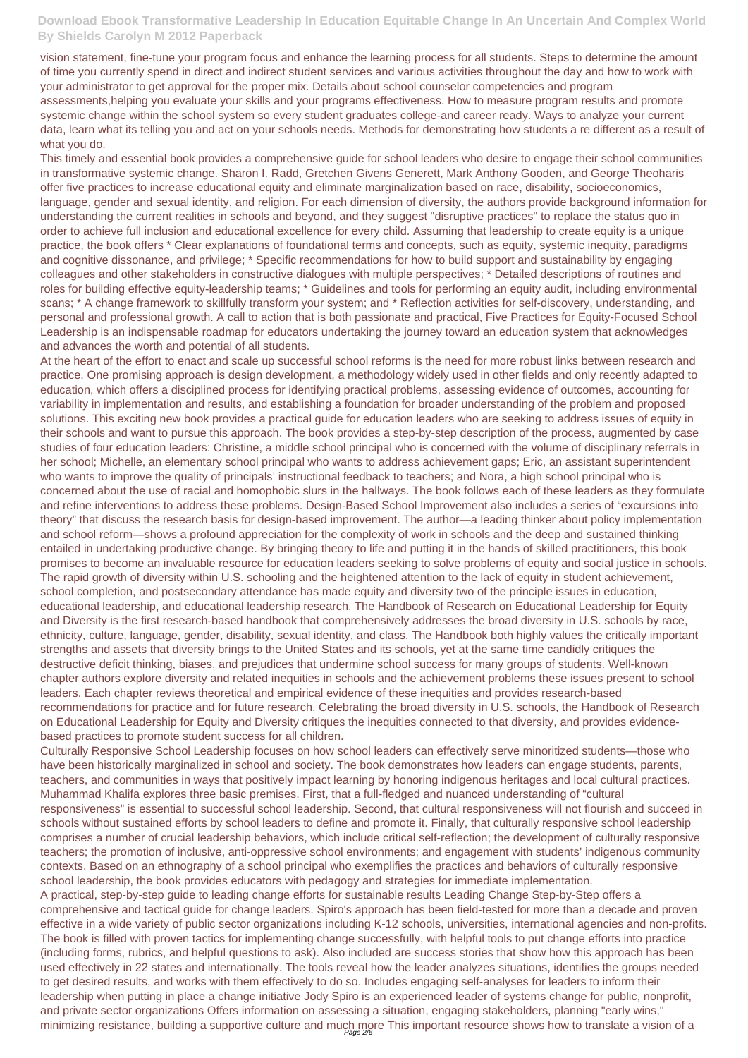vision statement, fine-tune your program focus and enhance the learning process for all students. Steps to determine the amount of time you currently spend in direct and indirect student services and various activities throughout the day and how to work with your administrator to get approval for the proper mix. Details about school counselor competencies and program assessments,helping you evaluate your skills and your programs effectiveness. How to measure program results and promote systemic change within the school system so every student graduates college-and career ready. Ways to analyze your current data, learn what its telling you and act on your schools needs. Methods for demonstrating how students a re different as a result of what you do.

This timely and essential book provides a comprehensive guide for school leaders who desire to engage their school communities in transformative systemic change. Sharon I. Radd, Gretchen Givens Generett, Mark Anthony Gooden, and George Theoharis offer five practices to increase educational equity and eliminate marginalization based on race, disability, socioeconomics, language, gender and sexual identity, and religion. For each dimension of diversity, the authors provide background information for understanding the current realities in schools and beyond, and they suggest "disruptive practices" to replace the status quo in order to achieve full inclusion and educational excellence for every child. Assuming that leadership to create equity is a unique practice, the book offers \* Clear explanations of foundational terms and concepts, such as equity, systemic inequity, paradigms and cognitive dissonance, and privilege; \* Specific recommendations for how to build support and sustainability by engaging colleagues and other stakeholders in constructive dialogues with multiple perspectives; \* Detailed descriptions of routines and roles for building effective equity-leadership teams; \* Guidelines and tools for performing an equity audit, including environmental scans; \* A change framework to skillfully transform your system; and \* Reflection activities for self-discovery, understanding, and personal and professional growth. A call to action that is both passionate and practical, Five Practices for Equity-Focused School Leadership is an indispensable roadmap for educators undertaking the journey toward an education system that acknowledges and advances the worth and potential of all students.

Culturally Responsive School Leadership focuses on how school leaders can effectively serve minoritized students—those who have been historically marginalized in school and society. The book demonstrates how leaders can engage students, parents, teachers, and communities in ways that positively impact learning by honoring indigenous heritages and local cultural practices. Muhammad Khalifa explores three basic premises. First, that a full-fledged and nuanced understanding of "cultural responsiveness" is essential to successful school leadership. Second, that cultural responsiveness will not flourish and succeed in schools without sustained efforts by school leaders to define and promote it. Finally, that culturally responsive school leadership comprises a number of crucial leadership behaviors, which include critical self-reflection; the development of culturally responsive teachers; the promotion of inclusive, anti-oppressive school environments; and engagement with students' indigenous community contexts. Based on an ethnography of a school principal who exemplifies the practices and behaviors of culturally responsive school leadership, the book provides educators with pedagogy and strategies for immediate implementation. A practical, step-by-step guide to leading change efforts for sustainable results Leading Change Step-by-Step offers a comprehensive and tactical guide for change leaders. Spiro's approach has been field-tested for more than a decade and proven effective in a wide variety of public sector organizations including K-12 schools, universities, international agencies and non-profits. The book is filled with proven tactics for implementing change successfully, with helpful tools to put change efforts into practice (including forms, rubrics, and helpful questions to ask). Also included are success stories that show how this approach has been used effectively in 22 states and internationally. The tools reveal how the leader analyzes situations, identifies the groups needed to get desired results, and works with them effectively to do so. Includes engaging self-analyses for leaders to inform their leadership when putting in place a change initiative Jody Spiro is an experienced leader of systems change for public, nonprofit, and private sector organizations Offers information on assessing a situation, engaging stakeholders, planning "early wins," minimizing resistance, building a supportive culture and much more This important resource shows how to translate a vision of a

At the heart of the effort to enact and scale up successful school reforms is the need for more robust links between research and practice. One promising approach is design development, a methodology widely used in other fields and only recently adapted to education, which offers a disciplined process for identifying practical problems, assessing evidence of outcomes, accounting for variability in implementation and results, and establishing a foundation for broader understanding of the problem and proposed solutions. This exciting new book provides a practical guide for education leaders who are seeking to address issues of equity in their schools and want to pursue this approach. The book provides a step-by-step description of the process, augmented by case studies of four education leaders: Christine, a middle school principal who is concerned with the volume of disciplinary referrals in her school; Michelle, an elementary school principal who wants to address achievement gaps; Eric, an assistant superintendent who wants to improve the quality of principals' instructional feedback to teachers; and Nora, a high school principal who is concerned about the use of racial and homophobic slurs in the hallways. The book follows each of these leaders as they formulate and refine interventions to address these problems. Design-Based School Improvement also includes a series of "excursions into theory" that discuss the research basis for design-based improvement. The author—a leading thinker about policy implementation and school reform—shows a profound appreciation for the complexity of work in schools and the deep and sustained thinking entailed in undertaking productive change. By bringing theory to life and putting it in the hands of skilled practitioners, this book promises to become an invaluable resource for education leaders seeking to solve problems of equity and social justice in schools. The rapid growth of diversity within U.S. schooling and the heightened attention to the lack of equity in student achievement, school completion, and postsecondary attendance has made equity and diversity two of the principle issues in education, educational leadership, and educational leadership research. The Handbook of Research on Educational Leadership for Equity and Diversity is the first research-based handbook that comprehensively addresses the broad diversity in U.S. schools by race, ethnicity, culture, language, gender, disability, sexual identity, and class. The Handbook both highly values the critically important strengths and assets that diversity brings to the United States and its schools, yet at the same time candidly critiques the destructive deficit thinking, biases, and prejudices that undermine school success for many groups of students. Well-known chapter authors explore diversity and related inequities in schools and the achievement problems these issues present to school leaders. Each chapter reviews theoretical and empirical evidence of these inequities and provides research-based recommendations for practice and for future research. Celebrating the broad diversity in U.S. schools, the Handbook of Research on Educational Leadership for Equity and Diversity critiques the inequities connected to that diversity, and provides evidencebased practices to promote student success for all children.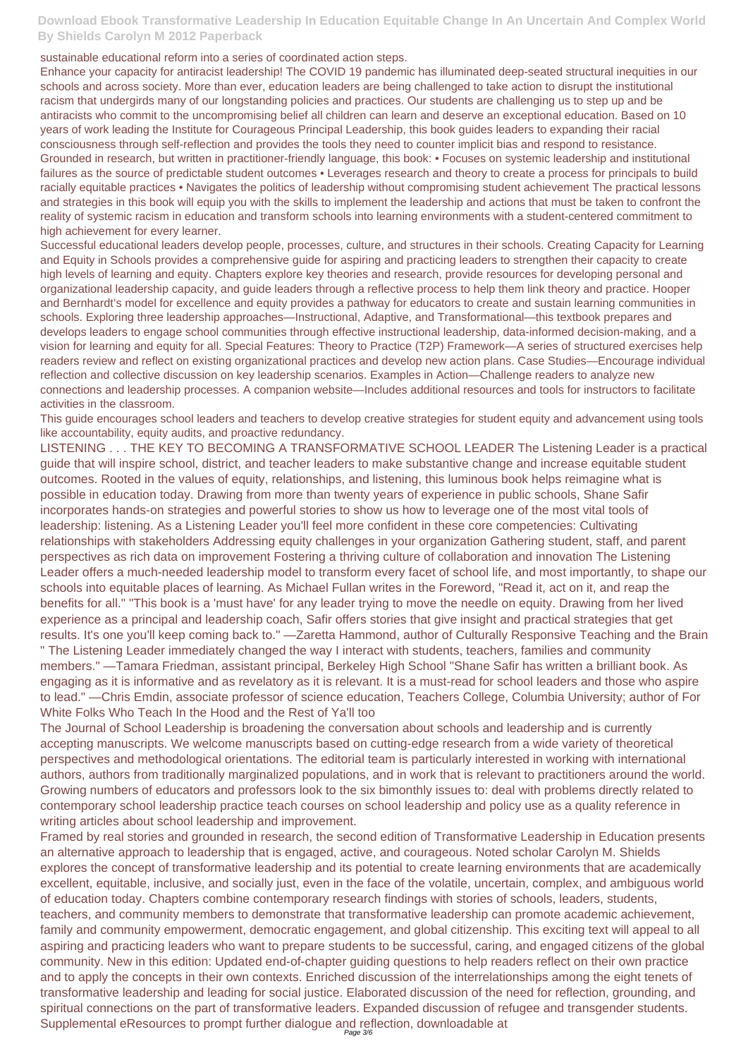sustainable educational reform into a series of coordinated action steps.

Enhance your capacity for antiracist leadership! The COVID 19 pandemic has illuminated deep-seated structural inequities in our schools and across society. More than ever, education leaders are being challenged to take action to disrupt the institutional racism that undergirds many of our longstanding policies and practices. Our students are challenging us to step up and be antiracists who commit to the uncompromising belief all children can learn and deserve an exceptional education. Based on 10 years of work leading the Institute for Courageous Principal Leadership, this book guides leaders to expanding their racial consciousness through self-reflection and provides the tools they need to counter implicit bias and respond to resistance. Grounded in research, but written in practitioner-friendly language, this book: • Focuses on systemic leadership and institutional failures as the source of predictable student outcomes • Leverages research and theory to create a process for principals to build racially equitable practices • Navigates the politics of leadership without compromising student achievement The practical lessons and strategies in this book will equip you with the skills to implement the leadership and actions that must be taken to confront the reality of systemic racism in education and transform schools into learning environments with a student-centered commitment to high achievement for every learner.

Successful educational leaders develop people, processes, culture, and structures in their schools. Creating Capacity for Learning and Equity in Schools provides a comprehensive guide for aspiring and practicing leaders to strengthen their capacity to create high levels of learning and equity. Chapters explore key theories and research, provide resources for developing personal and organizational leadership capacity, and guide leaders through a reflective process to help them link theory and practice. Hooper and Bernhardt's model for excellence and equity provides a pathway for educators to create and sustain learning communities in schools. Exploring three leadership approaches—Instructional, Adaptive, and Transformational—this textbook prepares and develops leaders to engage school communities through effective instructional leadership, data-informed decision-making, and a vision for learning and equity for all. Special Features: Theory to Practice (T2P) Framework—A series of structured exercises help readers review and reflect on existing organizational practices and develop new action plans. Case Studies—Encourage individual reflection and collective discussion on key leadership scenarios. Examples in Action—Challenge readers to analyze new connections and leadership processes. A companion website—Includes additional resources and tools for instructors to facilitate activities in the classroom.

Framed by real stories and grounded in research, the second edition of Transformative Leadership in Education presents an alternative approach to leadership that is engaged, active, and courageous. Noted scholar Carolyn M. Shields explores the concept of transformative leadership and its potential to create learning environments that are academically excellent, equitable, inclusive, and socially just, even in the face of the volatile, uncertain, complex, and ambiguous world of education today. Chapters combine contemporary research findings with stories of schools, leaders, students, teachers, and community members to demonstrate that transformative leadership can promote academic achievement, family and community empowerment, democratic engagement, and global citizenship. This exciting text will appeal to all aspiring and practicing leaders who want to prepare students to be successful, caring, and engaged citizens of the global community. New in this edition: Updated end-of-chapter guiding questions to help readers reflect on their own practice and to apply the concepts in their own contexts. Enriched discussion of the interrelationships among the eight tenets of transformative leadership and leading for social justice. Elaborated discussion of the need for reflection, grounding, and spiritual connections on the part of transformative leaders. Expanded discussion of refugee and transgender students. Supplemental eResources to prompt further dialogue and reflection, downloadable at

This guide encourages school leaders and teachers to develop creative strategies for student equity and advancement using tools like accountability, equity audits, and proactive redundancy.

LISTENING . . . THE KEY TO BECOMING A TRANSFORMATIVE SCHOOL LEADER The Listening Leader is a practical guide that will inspire school, district, and teacher leaders to make substantive change and increase equitable student outcomes. Rooted in the values of equity, relationships, and listening, this luminous book helps reimagine what is possible in education today. Drawing from more than twenty years of experience in public schools, Shane Safir incorporates hands-on strategies and powerful stories to show us how to leverage one of the most vital tools of leadership: listening. As a Listening Leader you'll feel more confident in these core competencies: Cultivating relationships with stakeholders Addressing equity challenges in your organization Gathering student, staff, and parent perspectives as rich data on improvement Fostering a thriving culture of collaboration and innovation The Listening Leader offers a much-needed leadership model to transform every facet of school life, and most importantly, to shape our schools into equitable places of learning. As Michael Fullan writes in the Foreword, "Read it, act on it, and reap the benefits for all." "This book is a 'must have' for any leader trying to move the needle on equity. Drawing from her lived experience as a principal and leadership coach, Safir offers stories that give insight and practical strategies that get results. It's one you'll keep coming back to." —Zaretta Hammond, author of Culturally Responsive Teaching and the Brain " The Listening Leader immediately changed the way I interact with students, teachers, families and community

members." —Tamara Friedman, assistant principal, Berkeley High School "Shane Safir has written a brilliant book. As engaging as it is informative and as revelatory as it is relevant. It is a must-read for school leaders and those who aspire to lead." —Chris Emdin, associate professor of science education, Teachers College, Columbia University; author of For White Folks Who Teach In the Hood and the Rest of Ya'll too

The Journal of School Leadership is broadening the conversation about schools and leadership and is currently accepting manuscripts. We welcome manuscripts based on cutting-edge research from a wide variety of theoretical perspectives and methodological orientations. The editorial team is particularly interested in working with international authors, authors from traditionally marginalized populations, and in work that is relevant to practitioners around the world. Growing numbers of educators and professors look to the six bimonthly issues to: deal with problems directly related to

contemporary school leadership practice teach courses on school leadership and policy use as a quality reference in writing articles about school leadership and improvement.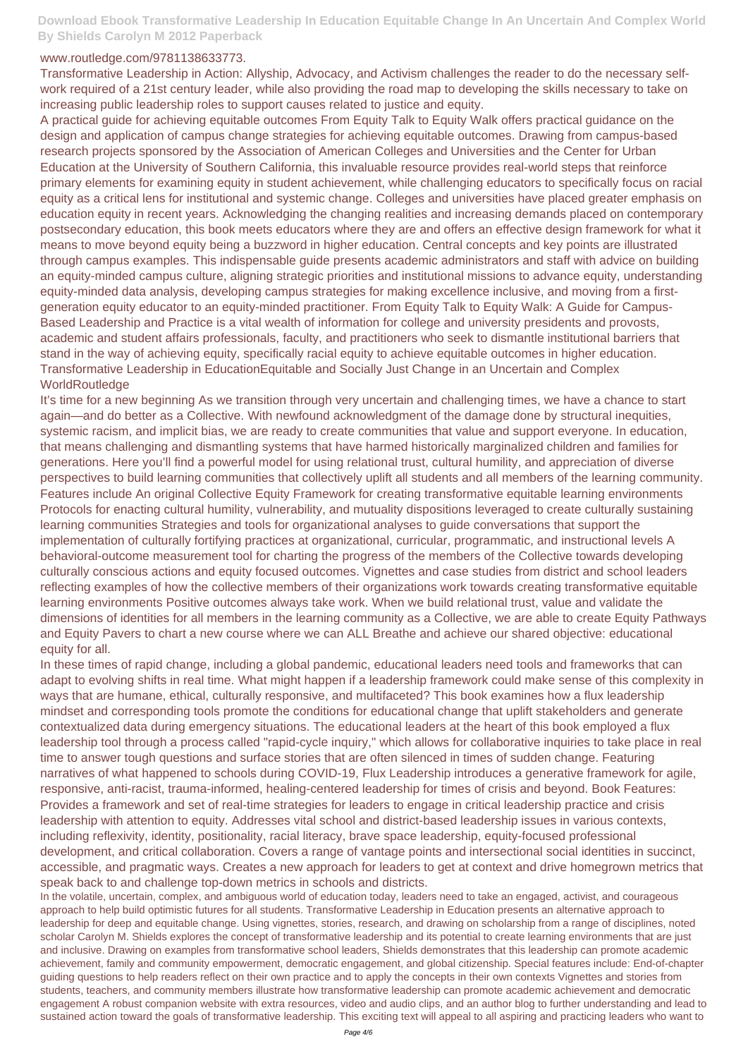## www.routledge.com/9781138633773.

Transformative Leadership in Action: Allyship, Advocacy, and Activism challenges the reader to do the necessary selfwork required of a 21st century leader, while also providing the road map to developing the skills necessary to take on increasing public leadership roles to support causes related to justice and equity.

A practical guide for achieving equitable outcomes From Equity Talk to Equity Walk offers practical guidance on the design and application of campus change strategies for achieving equitable outcomes. Drawing from campus-based research projects sponsored by the Association of American Colleges and Universities and the Center for Urban Education at the University of Southern California, this invaluable resource provides real-world steps that reinforce primary elements for examining equity in student achievement, while challenging educators to specifically focus on racial equity as a critical lens for institutional and systemic change. Colleges and universities have placed greater emphasis on education equity in recent years. Acknowledging the changing realities and increasing demands placed on contemporary postsecondary education, this book meets educators where they are and offers an effective design framework for what it means to move beyond equity being a buzzword in higher education. Central concepts and key points are illustrated through campus examples. This indispensable guide presents academic administrators and staff with advice on building an equity-minded campus culture, aligning strategic priorities and institutional missions to advance equity, understanding equity-minded data analysis, developing campus strategies for making excellence inclusive, and moving from a firstgeneration equity educator to an equity-minded practitioner. From Equity Talk to Equity Walk: A Guide for Campus-Based Leadership and Practice is a vital wealth of information for college and university presidents and provosts, academic and student affairs professionals, faculty, and practitioners who seek to dismantle institutional barriers that stand in the way of achieving equity, specifically racial equity to achieve equitable outcomes in higher education. Transformative Leadership in EducationEquitable and Socially Just Change in an Uncertain and Complex WorldRoutledge

It's time for a new beginning As we transition through very uncertain and challenging times, we have a chance to start again—and do better as a Collective. With newfound acknowledgment of the damage done by structural inequities, systemic racism, and implicit bias, we are ready to create communities that value and support everyone. In education, that means challenging and dismantling systems that have harmed historically marginalized children and families for generations. Here you'll find a powerful model for using relational trust, cultural humility, and appreciation of diverse perspectives to build learning communities that collectively uplift all students and all members of the learning community. Features include An original Collective Equity Framework for creating transformative equitable learning environments Protocols for enacting cultural humility, vulnerability, and mutuality dispositions leveraged to create culturally sustaining learning communities Strategies and tools for organizational analyses to guide conversations that support the implementation of culturally fortifying practices at organizational, curricular, programmatic, and instructional levels A behavioral-outcome measurement tool for charting the progress of the members of the Collective towards developing culturally conscious actions and equity focused outcomes. Vignettes and case studies from district and school leaders reflecting examples of how the collective members of their organizations work towards creating transformative equitable learning environments Positive outcomes always take work. When we build relational trust, value and validate the dimensions of identities for all members in the learning community as a Collective, we are able to create Equity Pathways and Equity Pavers to chart a new course where we can ALL Breathe and achieve our shared objective: educational equity for all.

In these times of rapid change, including a global pandemic, educational leaders need tools and frameworks that can adapt to evolving shifts in real time. What might happen if a leadership framework could make sense of this complexity in ways that are humane, ethical, culturally responsive, and multifaceted? This book examines how a flux leadership mindset and corresponding tools promote the conditions for educational change that uplift stakeholders and generate contextualized data during emergency situations. The educational leaders at the heart of this book employed a flux leadership tool through a process called "rapid-cycle inquiry," which allows for collaborative inquiries to take place in real time to answer tough questions and surface stories that are often silenced in times of sudden change. Featuring narratives of what happened to schools during COVID-19, Flux Leadership introduces a generative framework for agile, responsive, anti-racist, trauma-informed, healing-centered leadership for times of crisis and beyond. Book Features:

Provides a framework and set of real-time strategies for leaders to engage in critical leadership practice and crisis leadership with attention to equity. Addresses vital school and district-based leadership issues in various contexts, including reflexivity, identity, positionality, racial literacy, brave space leadership, equity-focused professional development, and critical collaboration. Covers a range of vantage points and intersectional social identities in succinct, accessible, and pragmatic ways. Creates a new approach for leaders to get at context and drive homegrown metrics that speak back to and challenge top-down metrics in schools and districts.

In the volatile, uncertain, complex, and ambiguous world of education today, leaders need to take an engaged, activist, and courageous approach to help build optimistic futures for all students. Transformative Leadership in Education presents an alternative approach to leadership for deep and equitable change. Using vignettes, stories, research, and drawing on scholarship from a range of disciplines, noted scholar Carolyn M. Shields explores the concept of transformative leadership and its potential to create learning environments that are just and inclusive. Drawing on examples from transformative school leaders, Shields demonstrates that this leadership can promote academic achievement, family and community empowerment, democratic engagement, and global citizenship. Special features include: End-of-chapter guiding questions to help readers reflect on their own practice and to apply the concepts in their own contexts Vignettes and stories from students, teachers, and community members illustrate how transformative leadership can promote academic achievement and democratic engagement A robust companion website with extra resources, video and audio clips, and an author blog to further understanding and lead to sustained action toward the goals of transformative leadership. This exciting text will appeal to all aspiring and practicing leaders who want to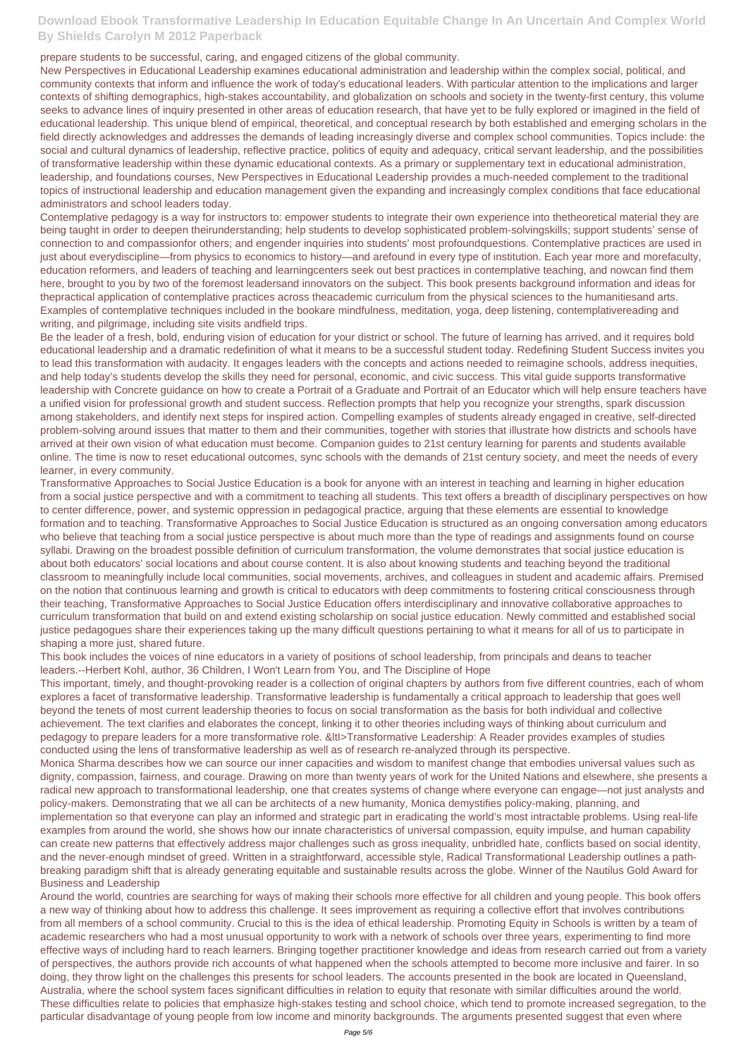prepare students to be successful, caring, and engaged citizens of the global community.

New Perspectives in Educational Leadership examines educational administration and leadership within the complex social, political, and community contexts that inform and influence the work of today's educational leaders. With particular attention to the implications and larger contexts of shifting demographics, high-stakes accountability, and globalization on schools and society in the twenty-first century, this volume seeks to advance lines of inquiry presented in other areas of education research, that have yet to be fully explored or imagined in the field of educational leadership. This unique blend of empirical, theoretical, and conceptual research by both established and emerging scholars in the field directly acknowledges and addresses the demands of leading increasingly diverse and complex school communities. Topics include: the social and cultural dynamics of leadership, reflective practice, politics of equity and adequacy, critical servant leadership, and the possibilities of transformative leadership within these dynamic educational contexts. As a primary or supplementary text in educational administration, leadership, and foundations courses, New Perspectives in Educational Leadership provides a much-needed complement to the traditional topics of instructional leadership and education management given the expanding and increasingly complex conditions that face educational administrators and school leaders today.

Contemplative pedagogy is a way for instructors to: empower students to integrate their own experience into thetheoretical material they are being taught in order to deepen theirunderstanding; help students to develop sophisticated problem-solvingskills; support students' sense of connection to and compassionfor others; and engender inquiries into students' most profoundquestions. Contemplative practices are used in just about everydiscipline—from physics to economics to history—and arefound in every type of institution. Each year more and morefaculty, education reformers, and leaders of teaching and learningcenters seek out best practices in contemplative teaching, and nowcan find them here, brought to you by two of the foremost leadersand innovators on the subject. This book presents background information and ideas for thepractical application of contemplative practices across theacademic curriculum from the physical sciences to the humanitiesand arts. Examples of contemplative techniques included in the bookare mindfulness, meditation, yoga, deep listening, contemplativereading and writing, and pilgrimage, including site visits andfield trips.

Be the leader of a fresh, bold, enduring vision of education for your district or school. The future of learning has arrived, and it requires bold educational leadership and a dramatic redefinition of what it means to be a successful student today. Redefining Student Success invites you to lead this transformation with audacity. It engages leaders with the concepts and actions needed to reimagine schools, address inequities, and help today's students develop the skills they need for personal, economic, and civic success. This vital guide supports transformative leadership with Concrete guidance on how to create a Portrait of a Graduate and Portrait of an Educator which will help ensure teachers have a unified vision for professional growth and student success. Reflection prompts that help you recognize your strengths, spark discussion among stakeholders, and identify next steps for inspired action. Compelling examples of students already engaged in creative, self-directed problem-solving around issues that matter to them and their communities, together with stories that illustrate how districts and schools have arrived at their own vision of what education must become. Companion guides to 21st century learning for parents and students available online. The time is now to reset educational outcomes, sync schools with the demands of 21st century society, and meet the needs of every learner, in every community.

Transformative Approaches to Social Justice Education is a book for anyone with an interest in teaching and learning in higher education from a social justice perspective and with a commitment to teaching all students. This text offers a breadth of disciplinary perspectives on how to center difference, power, and systemic oppression in pedagogical practice, arguing that these elements are essential to knowledge formation and to teaching. Transformative Approaches to Social Justice Education is structured as an ongoing conversation among educators who believe that teaching from a social justice perspective is about much more than the type of readings and assignments found on course syllabi. Drawing on the broadest possible definition of curriculum transformation, the volume demonstrates that social justice education is about both educators' social locations and about course content. It is also about knowing students and teaching beyond the traditional classroom to meaningfully include local communities, social movements, archives, and colleagues in student and academic affairs. Premised on the notion that continuous learning and growth is critical to educators with deep commitments to fostering critical consciousness through their teaching, Transformative Approaches to Social Justice Education offers interdisciplinary and innovative collaborative approaches to curriculum transformation that build on and extend existing scholarship on social justice education. Newly committed and established social justice pedagogues share their experiences taking up the many difficult questions pertaining to what it means for all of us to participate in shaping a more just, shared future.

This book includes the voices of nine educators in a variety of positions of school leadership, from principals and deans to teacher leaders.--Herbert Kohl, author, 36 Children, I Won't Learn from You, and The Discipline of Hope

This important, timely, and thought-provoking reader is a collection of original chapters by authors from five different countries, each of whom explores a facet of transformative leadership. Transformative leadership is fundamentally a critical approach to leadership that goes well beyond the tenets of most current leadership theories to focus on social transformation as the basis for both individual and collective achievement. The text clarifies and elaborates the concept, linking it to other theories including ways of thinking about curriculum and pedagogy to prepare leaders for a more transformative role. &ItI>Transformative Leadership: A Reader provides examples of studies conducted using the lens of transformative leadership as well as of research re-analyzed through its perspective.

Monica Sharma describes how we can source our inner capacities and wisdom to manifest change that embodies universal values such as dignity, compassion, fairness, and courage. Drawing on more than twenty years of work for the United Nations and elsewhere, she presents a radical new approach to transformational leadership, one that creates systems of change where everyone can engage—not just analysts and policy-makers. Demonstrating that we all can be architects of a new humanity, Monica demystifies policy-making, planning, and implementation so that everyone can play an informed and strategic part in eradicating the world's most intractable problems. Using real-life examples from around the world, she shows how our innate characteristics of universal compassion, equity impulse, and human capability can create new patterns that effectively address major challenges such as gross inequality, unbridled hate, conflicts based on social identity, and the never-enough mindset of greed. Written in a straightforward, accessible style, Radical Transformational Leadership outlines a pathbreaking paradigm shift that is already generating equitable and sustainable results across the globe. Winner of the Nautilus Gold Award for Business and Leadership Around the world, countries are searching for ways of making their schools more effective for all children and young people. This book offers a new way of thinking about how to address this challenge. It sees improvement as requiring a collective effort that involves contributions from all members of a school community. Crucial to this is the idea of ethical leadership. Promoting Equity in Schools is written by a team of academic researchers who had a most unusual opportunity to work with a network of schools over three years, experimenting to find more effective ways of including hard to reach learners. Bringing together practitioner knowledge and ideas from research carried out from a variety of perspectives, the authors provide rich accounts of what happened when the schools attempted to become more inclusive and fairer. In so doing, they throw light on the challenges this presents for school leaders. The accounts presented in the book are located in Queensland, Australia, where the school system faces significant difficulties in relation to equity that resonate with similar difficulties around the world. These difficulties relate to policies that emphasize high-stakes testing and school choice, which tend to promote increased segregation, to the particular disadvantage of young people from low income and minority backgrounds. The arguments presented suggest that even where